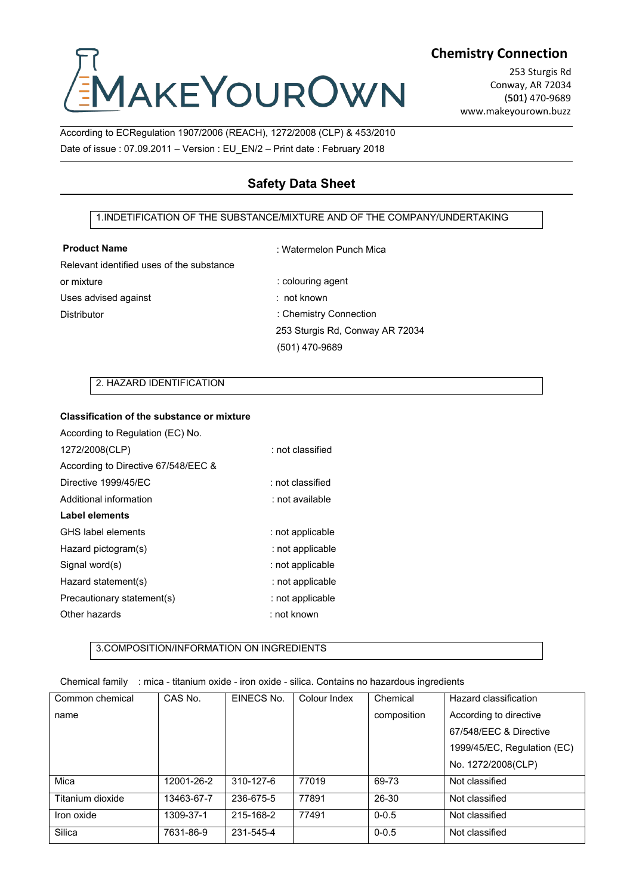# Chemistry<br>
Cording to ECRegulation 1907/2006 (REACH), 1272/2008 (CLP) & 453/2010<br>
Date of issue : 07.09.2011 – Version : EU\_EN/2 – Print date : February 2018 Chemistry C<br>
Chemistry C<br>
Date of issue : 07.09.2011 – Version : EU\_EN/2 – Print date : February 2018<br>
Date of issue : 07.09.2011 – Version : EU\_EN/2 – Print date : February 2018<br>
Safety Data Sheet 1.INDETIFICATION OF THE SUBSTANCE/MIXTURE AND OF THE COMPANY/UNDERTAKING<br>
1.INDETIFICATION OF THE SUBSTANCE/MIXTURE AND OF THE COMPANY/UNDERTAKING<br>
1.INDETIFICATION OF THE SUBSTANCE/MIXTURE AND OF THE COMPANY/UNDERTAKING<br>

## **Chemistry Connection**

253 Sturgis Rd Conway, AR 72034 (501) 470-9689 www.makeyourown.buzz

## **Safety Data Sheet**

## **Product Name**

: Watermelon Punch Mica

Relevant identified uses of the substance or mixture Uses advised against

: colouring agent : not known : Chemistry Connection 253 Sturgis Rd, Conway AR 72034 (501) 470-9689 2. HAZARD IDENTIFICATION<br>
2. HAZARD IDENTIFICATION<br>
2. HAZARD IDENTIFICATION<br>
2. HAZARD IDENTIFICATION<br>
2. HAZARD IDENTIFICATION<br>
2. HAZARD IDENTIFICATION<br>
2. HAZARD IDENTIFICATION

| or mixture                                        |                                          |            | . colouring agent                                                                |             |                           |
|---------------------------------------------------|------------------------------------------|------------|----------------------------------------------------------------------------------|-------------|---------------------------|
| Uses advised against                              |                                          |            | : not known                                                                      |             |                           |
| <b>Distributor</b>                                |                                          |            | : Chemistry Connection                                                           |             |                           |
|                                                   |                                          |            | 253 Sturgis Rd, Conway AR 72034                                                  |             |                           |
|                                                   |                                          |            | (501) 470-9689                                                                   |             |                           |
|                                                   |                                          |            |                                                                                  |             |                           |
|                                                   | 2. HAZARD IDENTIFICATION                 |            |                                                                                  |             |                           |
| <b>Classification of the substance or mixture</b> |                                          |            |                                                                                  |             |                           |
| According to Regulation (EC) No.                  |                                          |            |                                                                                  |             |                           |
| 1272/2008(CLP)                                    |                                          |            | : not classified                                                                 |             |                           |
| According to Directive 67/548/EEC &               |                                          |            |                                                                                  |             |                           |
| Directive 1999/45/EC                              |                                          |            | : not classified                                                                 |             |                           |
| Additional information                            |                                          |            | : not available                                                                  |             |                           |
| <b>Label elements</b>                             |                                          |            |                                                                                  |             |                           |
| GHS label elements                                |                                          |            | : not applicable                                                                 |             |                           |
| Hazard pictogram(s)                               |                                          |            | : not applicable                                                                 |             |                           |
| Signal word(s)                                    |                                          |            | : not applicable                                                                 |             |                           |
| Hazard statement(s)                               |                                          |            | : not applicable                                                                 |             |                           |
| Precautionary statement(s)                        |                                          |            | : not applicable                                                                 |             |                           |
| Other hazards                                     |                                          |            | : not known                                                                      |             |                           |
|                                                   |                                          |            |                                                                                  |             |                           |
|                                                   | 3.COMPOSITION/INFORMATION ON INGREDIENTS |            |                                                                                  |             |                           |
| Chemical family                                   |                                          |            | : mica - titanium oxide - iron oxide - silica. Contains no hazardous ingredients |             |                           |
| Common chemical                                   | CAS No.                                  | EINECS No. | Colour Index                                                                     | Chemical    | Hazard classification     |
| name                                              |                                          |            |                                                                                  | composition | According to directive    |
|                                                   |                                          |            |                                                                                  |             | 67/548/EEC & Directive    |
|                                                   |                                          |            |                                                                                  |             | $1000/4E/EC$ Doculation ( |

| Signal word(s)                                                                                   |                                          |            | : not applicable |             |                             |
|--------------------------------------------------------------------------------------------------|------------------------------------------|------------|------------------|-------------|-----------------------------|
| Hazard statement(s)                                                                              |                                          |            | : not applicable |             |                             |
| Precautionary statement(s)                                                                       |                                          |            | : not applicable |             |                             |
| Other hazards                                                                                    |                                          |            | : not known      |             |                             |
|                                                                                                  | 3.COMPOSITION/INFORMATION ON INGREDIENTS |            |                  |             |                             |
| Chemical family : mica - titanium oxide - iron oxide - silica. Contains no hazardous ingredients |                                          |            |                  |             |                             |
| Common chemical                                                                                  | CAS No.                                  | EINECS No. | Colour Index     | Chemical    | Hazard classification       |
| name                                                                                             |                                          |            |                  | composition | According to directive      |
|                                                                                                  |                                          |            |                  |             | 67/548/EEC & Directive      |
|                                                                                                  |                                          |            |                  |             | 1999/45/EC, Regulation (EC) |
|                                                                                                  |                                          |            |                  |             | No. 1272/2008(CLP)          |
| Mica                                                                                             | 12001-26-2                               | 310-127-6  | 77019            | 69-73       | Not classified              |
| Titanium dioxide                                                                                 | 13463-67-7                               | 236-675-5  | 77891            | 26-30       | Not classified              |
| Iron oxide                                                                                       | 1309-37-1                                | 215-168-2  | 77491            | $0 - 0.5$   | Not classified              |
| Silica                                                                                           | 7631-86-9                                | 231-545-4  |                  | $0 - 0.5$   | Not classified              |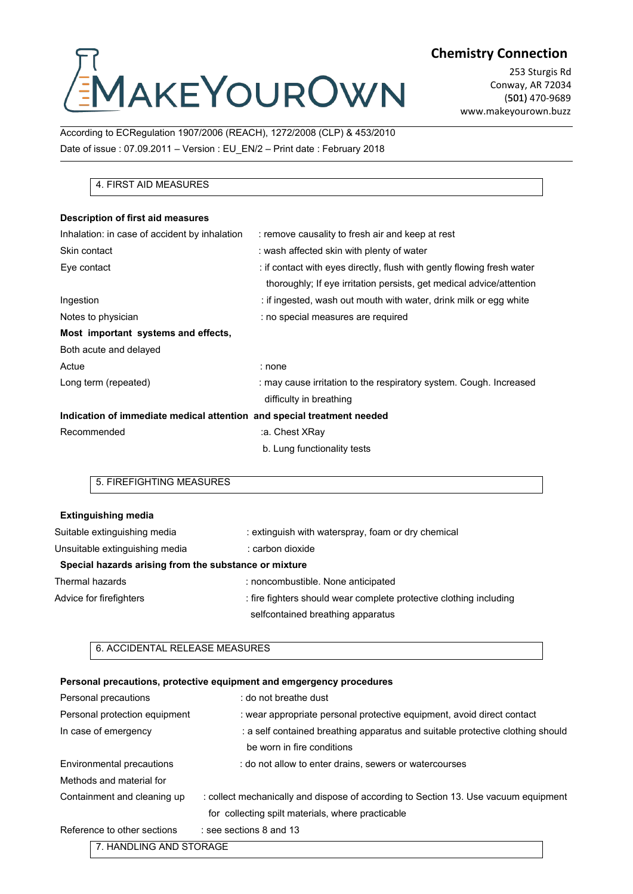## Chemistry<br>
Cording to ECRegulation 1907/2006 (REACH), 1272/2008 (CLP) & 453/2010<br>
Date of issue : 07.09.2011 – Version : EU\_EN/2 – Print date : February 2018 Chemistry C<br>
Date of issue : 07.09.2011 – Version : EU\_EN/2 – Print date : February 2018<br>
According to ECRegulation 1907/2006 (REACH), 1272/2008 (CLP) & 453/2010<br>
Date of issue : 07.09.2011 – Version : EU\_EN/2 – Print date NAKEYOURC<br>
Ig to ECRegulation 1907/2006 (REACH), 1272/2008 (C<br>
SSUE : 07.09.2011 – Version : EU\_EN/2 – Print date : Fr<br>
4. FIRST AID MEASURES<br>
tion of first aid measures

**Chemistry Connection**

253 Sturgis Rd Conway, AR 72034 (501) 470-9689 www.makeyourown.buzz

| <b>EMAKEYOUROWN</b>                                                      |                                                                                                                                                | (501) 470-9689<br>www.makeyourown.buzz |
|--------------------------------------------------------------------------|------------------------------------------------------------------------------------------------------------------------------------------------|----------------------------------------|
| According to ECRegulation 1907/2006 (REACH), 1272/2008 (CLP) & 453/2010  |                                                                                                                                                |                                        |
| Date of issue: 07.09.2011 - Version: EU_EN/2 - Print date: February 2018 |                                                                                                                                                |                                        |
|                                                                          |                                                                                                                                                |                                        |
| 4. FIRST AID MEASURES                                                    |                                                                                                                                                |                                        |
| Description of first aid measures                                        |                                                                                                                                                |                                        |
| Inhalation: in case of accident by inhalation                            | : remove causality to fresh air and keep at rest                                                                                               |                                        |
| Skin contact                                                             | : wash affected skin with plenty of water                                                                                                      |                                        |
| Eye contact                                                              | : if contact with eyes directly, flush with gently flowing fresh water<br>thoroughly; If eye irritation persists, get medical advice/attention |                                        |
| Ingestion                                                                | : if ingested, wash out mouth with water, drink milk or egg white                                                                              |                                        |
| Notes to physician                                                       | : no special measures are required                                                                                                             |                                        |
| Most important systems and effects,                                      |                                                                                                                                                |                                        |
| Both acute and delayed                                                   |                                                                                                                                                |                                        |
| Actue                                                                    | : none                                                                                                                                         |                                        |
| Long term (repeated)                                                     | : may cause irritation to the respiratory system. Cough. Increased                                                                             |                                        |
|                                                                          | difficulty in breathing                                                                                                                        |                                        |
| Indication of immediate medical attention and special treatment needed   |                                                                                                                                                |                                        |
| Recommended                                                              | :a. Chest XRay                                                                                                                                 |                                        |
|                                                                          | b. Lung functionality tests                                                                                                                    |                                        |
| 5. FIREFIGHTING MEASURES                                                 |                                                                                                                                                |                                        |
|                                                                          |                                                                                                                                                |                                        |
| <b>Extinguishing media</b>                                               |                                                                                                                                                |                                        |
| Suitable extinguishing media                                             | : extinguish with waterspray, foam or dry chemical                                                                                             |                                        |
| Jnsuitable extinguishing media                                           | : carbon dioxide                                                                                                                               |                                        |

|                                                       | difficulty in breathing                                                        |
|-------------------------------------------------------|--------------------------------------------------------------------------------|
|                                                       | Indication of immediate medical attention and special treatment needed         |
| Recommended                                           | :a. Chest XRay                                                                 |
|                                                       | b. Lung functionality tests                                                    |
| 5. FIREFIGHTING MEASURES                              |                                                                                |
|                                                       |                                                                                |
| <b>Extinguishing media</b>                            |                                                                                |
| Suitable extinguishing media                          | : extinguish with waterspray, foam or dry chemical                             |
| Unsuitable extinguishing media                        | : carbon dioxide                                                               |
| Special hazards arising from the substance or mixture |                                                                                |
| <b>Thermal hazards</b>                                | : noncombustible. None anticipated                                             |
| Advice for firefighters                               | : fire fighters should wear complete protective clothing including             |
|                                                       | selfcontained breathing apparatus                                              |
| 6. ACCIDENTAL RELEASE MEASURES                        |                                                                                |
|                                                       | Personal precautions, protective equipment and emgergency procedures           |
| Personal precautions                                  | : do not breathe dust                                                          |
| Personal protection equipment                         | : wear appropriate personal protective equipment, avoid direct contact         |
| In case of emergency                                  | : a self contained breathing apparatus and suitable protective clothing should |
|                                                       | ho warn in fire conditions.                                                    |

| Thermal hazards                | : noncombustible. None anticipated                                                  |
|--------------------------------|-------------------------------------------------------------------------------------|
| Advice for firefighters        | : fire fighters should wear complete protective clothing including                  |
|                                | selfcontained breathing apparatus                                                   |
| 6. ACCIDENTAL RELEASE MEASURES |                                                                                     |
|                                | Personal precautions, protective equipment and emgergency procedures                |
| Personal precautions           | : do not breathe dust                                                               |
| Personal protection equipment  | : wear appropriate personal protective equipment, avoid direct contact              |
| In case of emergency           | : a self contained breathing apparatus and suitable protective clothing should      |
|                                | be worn in fire conditions                                                          |
| Environmental precautions      | : do not allow to enter drains, sewers or watercourses                              |
| Methods and material for       |                                                                                     |
| Containment and cleaning up    | : collect mechanically and dispose of according to Section 13. Use vacuum equipment |
|                                | for collecting spilt materials, where practicable                                   |
| Reference to other sections    | : see sections 8 and 13                                                             |
| 7. HANDLING AND STORAGE        |                                                                                     |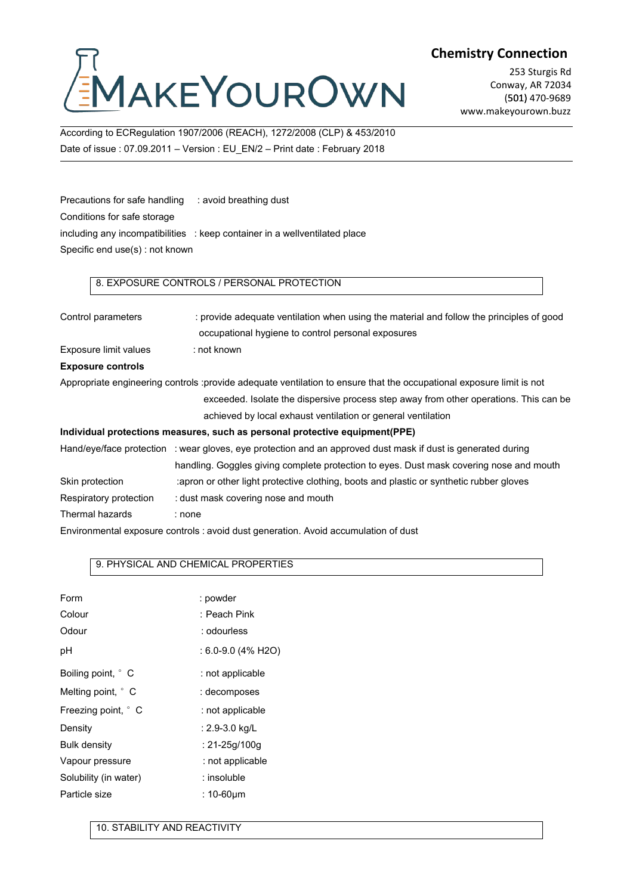## Chemistry<br>
Cording to ECRegulation 1907/2006 (REACH), 1272/2008 (CLP) & 453/2010<br>
Date of issue : 07.09.2011 – Version : EU\_EN/2 – Print date : February 2018 Chemistry Contains to ECRegulation 1907/2006 (REACH), 1272/2008 (CLP) & 453/2010<br>Date of issue : 07.09.2011 – Version : EU\_EN/2 – Print date : February 2018 Precautions for safe handling<br>
Frecautions for safe handling : avoid breathing dust<br>
Precautions for safe handling : avoid breathing dust<br>
Precautions for safe handling : avoid breathing dust<br>
Conditions for safe handling

**Chemistry Connection**

253 Sturgis Rd Conway, AR 72034 (501) 470-9689 www.makeyourown.buzz

EMAKEYOU|<br>According to ECRegulation 1907/2006 (REACH), 127<br>Date of issue : 07.09.2011 – Version : EU\_EN/2 – Pri<br>Precautions for safe handling : avoid breathing dus<br>Conditions for safe storage<br>including any incompatibilitie EVIANET VURLEY MENTARE TO UNITED ASSEMBLY TO THE SERVICE PRODUCED A 45372010<br>
Date of issue : 07.09.2011 – Version : EU\_EN/2 – Print date : February 2018<br>
Precautions for safe handling : avoid breathing dust<br>
Conditions fo According to ECRegulation 1907/2006 (REACH), 1272/200<br>Date of issue : 07.09.2011 – Version : EU\_EN/2 – Print dat<br>Precautions for safe handling : avoid breathing dust<br>Conditions for safe storage<br>including any incompatibilit ssue : 07.09.2011 – Version : EU\_EN/2 – Print date : February 2018<br>
ons for safe handling : avoid breathing dust<br>
ns for safe storage<br>
any incompatibilities : keep container in a wellventilated place<br>
end use(s) : not know

| Precautions for safe handling   | : avoid breathing dust                                                                                               |
|---------------------------------|----------------------------------------------------------------------------------------------------------------------|
| Conditions for safe storage     |                                                                                                                      |
|                                 | including any incompatibilities : keep container in a wellventilated place                                           |
| Specific end use(s) : not known |                                                                                                                      |
|                                 |                                                                                                                      |
|                                 | 8. EXPOSURE CONTROLS / PERSONAL PROTECTION                                                                           |
| Control parameters              | : provide adequate ventilation when using the material and follow the principles of good                             |
|                                 | occupational hygiene to control personal exposures                                                                   |
| Exposure limit values           | : not known                                                                                                          |
| <b>Exposure controls</b>        |                                                                                                                      |
|                                 | Appropriate engineering controls :provide adequate ventilation to ensure that the occupational exposure limit is not |
|                                 | exceeded. Isolate the dispersive process step away from other operations. This can be                                |
|                                 | achieved by local exhaust ventilation or general ventilation                                                         |
|                                 | Individual protections measures, such as personal protective equipment(PPE)                                          |
|                                 | Hand/eye/face protection : wear gloves, eye protection and an approved dust mask if dust is generated during         |
|                                 | handling. Goggles giving complete protection to eyes. Dust mask covering nose and mouth                              |
| Skin protection                 | :apron or other light protective clothing, boots and plastic or synthetic rubber gloves                              |
| Respiratory protection          | : dust mask covering nose and mouth                                                                                  |
| Thermal hazards                 | : none                                                                                                               |
|                                 | Environmental exposure controls : avoid dust generation. Avoid accumulation of dust                                  |
|                                 | 9. PHYSICAL AND CHEMICAL PROPERTIES                                                                                  |
|                                 |                                                                                                                      |
| Form                            | : powder                                                                                                             |
| Colour                          | : Peach Pink                                                                                                         |
| Odour                           | : odourless                                                                                                          |
| pН                              | $: 6.0 - 9.0$ (4% H2O)                                                                                               |
|                                 |                                                                                                                      |

|                              | Respiratory protection : dust mask covering nose and mouth                     |
|------------------------------|--------------------------------------------------------------------------------|
| Thermal hazards              | : none                                                                         |
|                              | Environmental exposure controls : avoid dust generation. Avoid accumulation of |
|                              |                                                                                |
|                              | 9. PHYSICAL AND CHEMICAL PROPERTIES                                            |
|                              |                                                                                |
| Form                         | : powder                                                                       |
| Colour                       | : Peach Pink                                                                   |
| Odour                        | : odourless                                                                    |
| рH                           | : 6.0-9.0 (4% H2O)                                                             |
| Boiling point, ° C           | : not applicable                                                               |
| Melting point, ° C           | : decomposes                                                                   |
| Freezing point, ° C          | : not applicable                                                               |
| Density                      | : 2.9-3.0 kg/L                                                                 |
| <b>Bulk density</b>          | : $21 - 25g/100g$                                                              |
| Vapour pressure              | : not applicable                                                               |
| Solubility (in water)        | : insoluble                                                                    |
| Particle size                | : $10-60 \mu m$                                                                |
|                              |                                                                                |
| 10. STABILITY AND REACTIVITY |                                                                                |
|                              |                                                                                |
|                              |                                                                                |
|                              |                                                                                |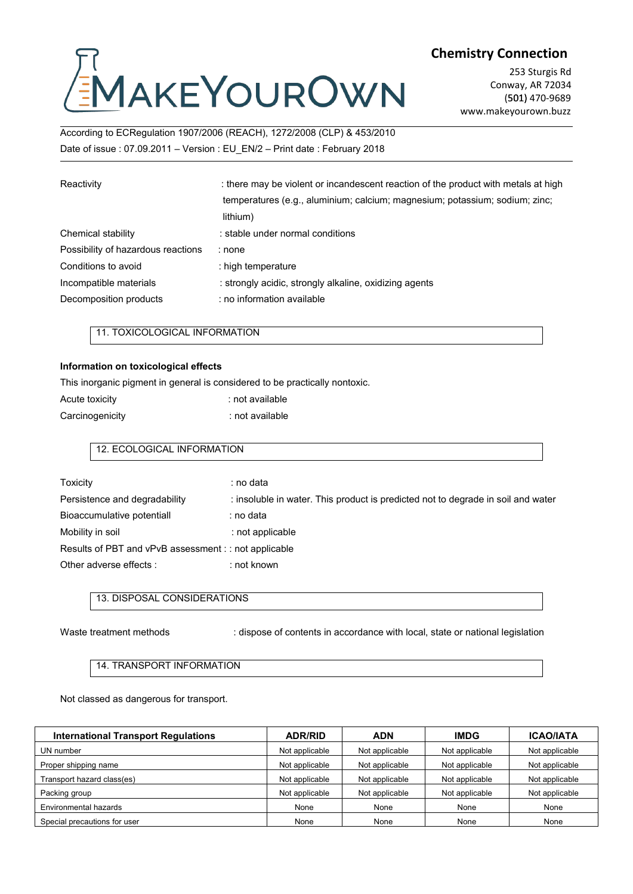# Chemistry<br>
Cording to ECRegulation 1907/2006 (REACH), 1272/2008 (CLP) & 453/2010<br>
Date of issue : 07.09.2011 – Version : EU\_EN/2 – Print date : February 2018 Chemistry C<br>
DROWN Commistry C<br>
According to ECRegulation 1907/2006 (REACH), 1272/2008 (CLP) & 453/2010<br>
Date of issue : 07.09.2011 – Version : EU\_EN/2 – Print date : February 2018<br>
Reactivity : there may be violent or inc

|                                      |                                                                                                                                                                               | <b>Chemistry Connection</b>                                                  |
|--------------------------------------|-------------------------------------------------------------------------------------------------------------------------------------------------------------------------------|------------------------------------------------------------------------------|
|                                      | EMAKEYOUROWN                                                                                                                                                                  | 253 Sturgis Rd<br>Conway, AR 72034<br>(501) 470-9689<br>www.makeyourown.buzz |
|                                      | According to ECRegulation 1907/2006 (REACH), 1272/2008 (CLP) & 453/2010                                                                                                       |                                                                              |
|                                      | Date of issue: 07.09.2011 - Version: EU EN/2 - Print date: February 2018                                                                                                      |                                                                              |
| Reactivity                           | : there may be violent or incandescent reaction of the product with metals at high<br>temperatures (e.g., aluminium; calcium; magnesium; potassium; sodium; zinc;<br>lithium) |                                                                              |
| Chemical stability                   | : stable under normal conditions                                                                                                                                              |                                                                              |
| Possibility of hazardous reactions   | : none                                                                                                                                                                        |                                                                              |
| Conditions to avoid                  | : high temperature                                                                                                                                                            |                                                                              |
| Incompatible materials               | : strongly acidic, strongly alkaline, oxidizing agents                                                                                                                        |                                                                              |
| Decomposition products               | : no information available                                                                                                                                                    |                                                                              |
| 11. TOXICOLOGICAL INFORMATION        |                                                                                                                                                                               |                                                                              |
| Information on toxicological effects |                                                                                                                                                                               |                                                                              |
|                                      | This inorganic pigment in general is considered to be practically nontoxic.                                                                                                   |                                                                              |
| Acute toxicity                       | : not available                                                                                                                                                               |                                                                              |
| Carcinogenicity                      | : not available                                                                                                                                                               |                                                                              |
| 12. ECOLOGICAL INFORMATION           |                                                                                                                                                                               |                                                                              |

| Acute toxicity  | : not available |
|-----------------|-----------------|
| Carcinogenicity | : not available |

| Information on toxicological effects                  |                                                                                  |
|-------------------------------------------------------|----------------------------------------------------------------------------------|
|                                                       | This inorganic pigment in general is considered to be practically nontoxic.      |
| Acute toxicity                                        | : not available                                                                  |
| Carcinogenicity                                       | : not available                                                                  |
| 12. ECOLOGICAL INFORMATION                            |                                                                                  |
| <b>Toxicity</b>                                       | : no data                                                                        |
| Persistence and degradability                         | : insoluble in water. This product is predicted not to degrade in soil and water |
| Bioaccumulative potentiall                            | ∶ no data                                                                        |
| Mobility in soil                                      | : not applicable                                                                 |
| Results of PBT and vPvB assessment : : not applicable |                                                                                  |
| Other adverse effects:                                | : not known                                                                      |
| 13. DISPOSAL CONSIDERATIONS                           |                                                                                  |
| Waste treatment methods                               | : dispose of contents in accordance with local, state or national legislation    |
| 14. TRANSPORT INFORMATION                             |                                                                                  |

| 13. DISPOSAL CONSIDERATIONS                |                                                                               |                |                |                                    |
|--------------------------------------------|-------------------------------------------------------------------------------|----------------|----------------|------------------------------------|
| Waste treatment methods                    | : dispose of contents in accordance with local, state or national legislation |                |                |                                    |
| 14. TRANSPORT INFORMATION                  |                                                                               |                |                |                                    |
| Not classed as dangerous for transport.    |                                                                               |                |                |                                    |
| <b>International Transport Regulations</b> | <b>ADR/RID</b>                                                                | <b>ADN</b>     | <b>IMDG</b>    |                                    |
| UN number                                  | Not applicable                                                                | Not applicable | Not applicable | <b>ICAO/IATA</b><br>Not applicable |
| Proper shipping name                       | Not applicable                                                                | Not applicable | Not applicable | Not applicable                     |
| Transport hazard class(es)                 | Not applicable                                                                | Not applicable | Not applicable | Not applicable                     |
| Packing group                              | Not applicable                                                                | Not applicable | Not applicable | Not applicable                     |
| Environmental hazards                      | None                                                                          | None           | None           | None                               |